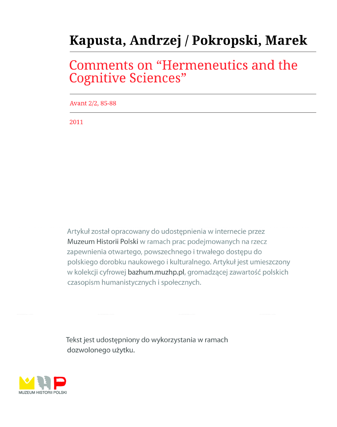# Kapusta, Andrzej / Pokropski, Marek

# **Comments on "Hermeneutics and the Cognitive Sciences"**

Avant 2/2, 85-88

2011

Artykuł został opracowany do udostępnienia w internecie przez Muzeum Historii Polski w ramach prac podejmowanych na rzecz zapewnienia otwartego, powszechnego i trwałego dostępu do polskiego dorobku naukowego i kulturalnego. Artykuł jest umieszczony w kolekcji cyfrowej bazhum.muzhp.pl, gromadzącej zawartość polskich czasopism humanistycznych i społecznych.

Tekst jest udostępniony do wykorzystania w ramach dozwolonego użytku.

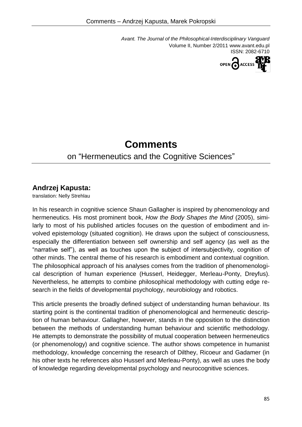*Avant. The Journal of the Philosophical-Interdisciplinary Vanguard* Volume II, Number 2/2011 www.avant.edu.pl ISSN: 2082-6710



## **Comments**

### on "Hermeneutics and the Cognitive Sciences"

### **Andrzej Kapusta:**

translation: Nelly Strehlau

In his research in cognitive science Shaun Gallagher is inspired by phenomenology and hermeneutics. His most prominent book, *How the Body Shapes the Mind* (2005), similarly to most of his published articles focuses on the question of embodiment and involved epistemology (situated cognition). He draws upon the subject of consciousness, especially the differentiation between self ownership and self agency (as well as the "narrative self"), as well as touches upon the subject of intersubjectivity, cognition of other minds. The central theme of his research is embodiment and contextual cognition. The philosophical approach of his analyses comes from the tradition of phenomenological description of human experience (Husserl, Heidegger, Merleau-Ponty, Dreyfus). Nevertheless, he attempts to combine philosophical methodology with cutting edge research in the fields of developmental psychology, neurobiology and robotics.

This article presents the broadly defined subject of understanding human behaviour. Its starting point is the continental tradition of phenomenological and hermeneutic description of human behaviour. Gallagher, however, stands in the opposition to the distinction between the methods of understanding human behaviour and scientific methodology. He attempts to demonstrate the possibility of mutual cooperation between hermeneutics (or phenomenology) and cognitive science. The author shows competence in humanist methodology, knowledge concerning the research of Dilthey, Ricoeur and Gadamer (in his other texts he references also Husserl and Merleau-Ponty), as well as uses the body of knowledge regarding developmental psychology and neurocognitive sciences.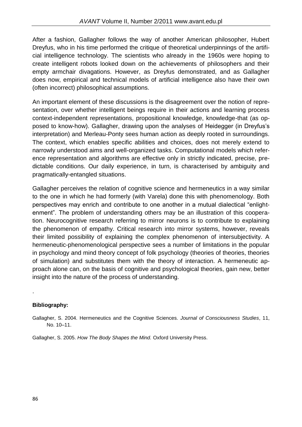After a fashion, Gallagher follows the way of another American philosopher, Hubert Dreyfus, who in his time performed the critique of theoretical underpinnings of the artificial intelligence technology. The scientists who already in the 1960s were hoping to create intelligent robots looked down on the achievements of philosophers and their empty armchair divagations. However, as Dreyfus demonstrated, and as Gallagher does now, empirical and technical models of artificial intelligence also have their own (often incorrect) philosophical assumptions.

An important element of these discussions is the disagreement over the notion of representation, over whether intelligent beings require in their actions and learning process context-independent representations, propositional knowledge, knowledge-that (as opposed to know-how). Gallagher, drawing upon the analyses of Heidegger (in Dreyfus's interpretation) and Merleau-Ponty sees human action as deeply rooted in surroundings. The context, which enables specific abilities and choices, does not merely extend to narrowly understood aims and well-organized tasks. Computational models which reference representation and algorithms are effective only in strictly indicated, precise, predictable conditions. Our daily experience, in turn, is characterised by ambiguity and pragmatically-entangled situations.

Gallagher perceives the relation of cognitive science and hermeneutics in a way similar to the one in which he had formerly (with Varela) done this with phenomenology. Both perspectives may enrich and contribute to one another in a mutual dialectical "enlightenment". The problem of understanding others may be an illustration of this cooperation. Neurocognitive research referring to mirror neurons is to contribute to explaining the phenomenon of empathy. Critical research into mirror systems, however, reveals their limited possibility of explaining the complex phenomenon of intersubjectivity. A hermeneutic-phenomenological perspective sees a number of limitations in the popular in psychology and mind theory concept of folk psychology (theories of theories, theories of simulation) and substitutes them with the theory of interaction. A hermeneutic approach alone can, on the basis of cognitive and psychological theories, gain new, better insight into the nature of the process of understanding.

#### **Bibliography:**

.

Gallagher, S. 2004. Hermeneutics and the Cognitive Sciences. *Journal of Consciousness Studies*, 11, No. 10–11.

Gallagher, S. 2005. *How The Body Shapes the Mind.* Oxford University Press.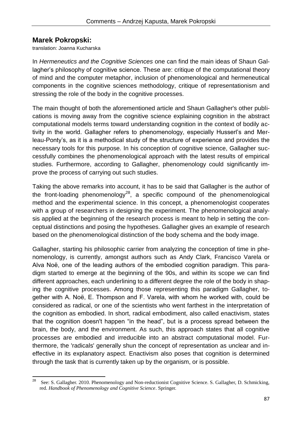#### **Marek Pokropski:**

translation: Joanna Kucharska

In *Hermeneutics and the Cognitive Sciences* one can find the main ideas of Shaun Gallagher's philosophy of cognitive science. These are: critique of the computational theory of mind and the computer metaphor, inclusion of phenomenological and hermeneutical components in the cognitive sciences methodology, critique of representationism and stressing the role of the body in the cognitive processes.

The main thought of both the aforementioned article and Shaun Gallagher's other publications is moving away from the cognitive science explaining cognition in the abstract computational models terms toward understanding cognition in the context of bodily activity in the world. Gallagher refers to phenomenology, especially Husserl's and Merleau-Ponty's, as it is a methodical study of the structure of experience and provides the necessary tools for this purpose. In his conception of cognitive science, Gallagher successfully combines the phenomenological approach with the latest results of empirical studies. Furthermore, according to Gallagher, phenomenology could significantly improve the process of carrying out such studies.

Taking the above remarks into account, it has to be said that Gallagher is the author of the front-loading phenomenology<sup>28</sup>, a specific compound of the phenomenological method and the experimental science. In this concept, a phenomenologist cooperates with a group of researchers in designing the experiment. The phenomenological analysis applied at the beginning of the research process is meant to help in setting the conceptual distinctions and posing the hypotheses. Gallagher gives an example of research based on the phenomenological distinction of the body schema and the body image.

Gallagher, starting his philosophic carrier from analyzing the conception of time in phenomenology, is currently, amongst authors such as Andy Clark, Francisco Varela or Alva Noë, one of the leading authors of the embodied cognition paradigm. This paradigm started to emerge at the beginning of the 90s, and within its scope we can find different approaches, each underlining to a different degree the role of the body in shaping the cognitive processes. Among those representing this paradigm Gallagher, together with A. Noë, E. Thompson and F. Varela, with whom he worked with, could be considered as radical, or one of the scientists who went farthest in the interpretation of the cognition as embodied. In short, radical embodiment, also called enactivism, states that the cognition doesn't happen "in the head", but is a process spread between the brain, the body, and the environment. As such, this approach states that all cognitive processes are embodied and irreducible into an abstract computational model. Furthermore, the 'radicals' generally shun the concept of representation as unclear and ineffective in its explanatory aspect. Enactivism also poses that cognition is determined through the task that is currently taken up by the organism, or is possible.

<sup>28</sup> <sup>28</sup> See: S. Gallagher. 2010. Phenomenology and Non-reductionist Cognitive Science. S. Gallagher, D. Schmicking, red. *Handbook of Phenomenology and Cognitive Science*. Springer.